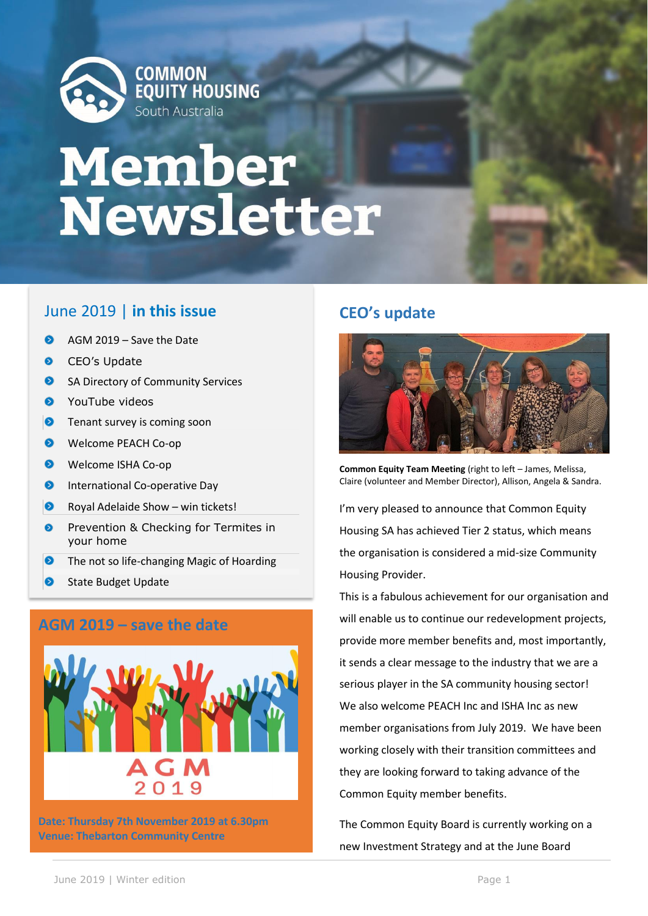

## Member Newsletter

### June 2019 | **in this issue**

- $\bullet$ AGM 2019 – Save the Date
- $\bullet$ CEO's Update
- $\bullet$ SA Directory of Community Services
- $\bullet$ YouTube videos
- $\bullet$ Tenant survey is coming soon
- $\bullet$ Welcome PEACH Co-op
- $\bullet$ Welcome ISHA Co-op
- $\bullet$ International Co-operative Day
- $\bullet$ Royal Adelaide Show – win tickets!
- $\bullet$ Prevention & Checking for Termites in your home
- $\bullet$ The not so life-changing Magic of Hoarding
- $\bullet$ State Budget Update

### **AGM 2019 – save the date**



**Date: Thursday 7th November 2019 at 6.30pm Venue: Thebarton Community Centre**

### **CEO's update**



**Common Equity Team Meeting** (right to left – James, Melissa, Claire (volunteer and Member Director), Allison, Angela & Sandra.

I'm very pleased to announce that Common Equity Housing SA has achieved Tier 2 status, which means the organisation is considered a mid-size Community Housing Provider.

This is a fabulous achievement for our organisation and will enable us to continue our redevelopment projects, provide more member benefits and, most importantly, it sends a clear message to the industry that we are a serious player in the SA community housing sector! We also welcome PEACH Inc and ISHA Inc as new member organisations from July 2019. We have been working closely with their transition committees and they are looking forward to taking advance of the Common Equity member benefits.

The Common Equity Board is currently working on a new Investment Strategy and at the June Board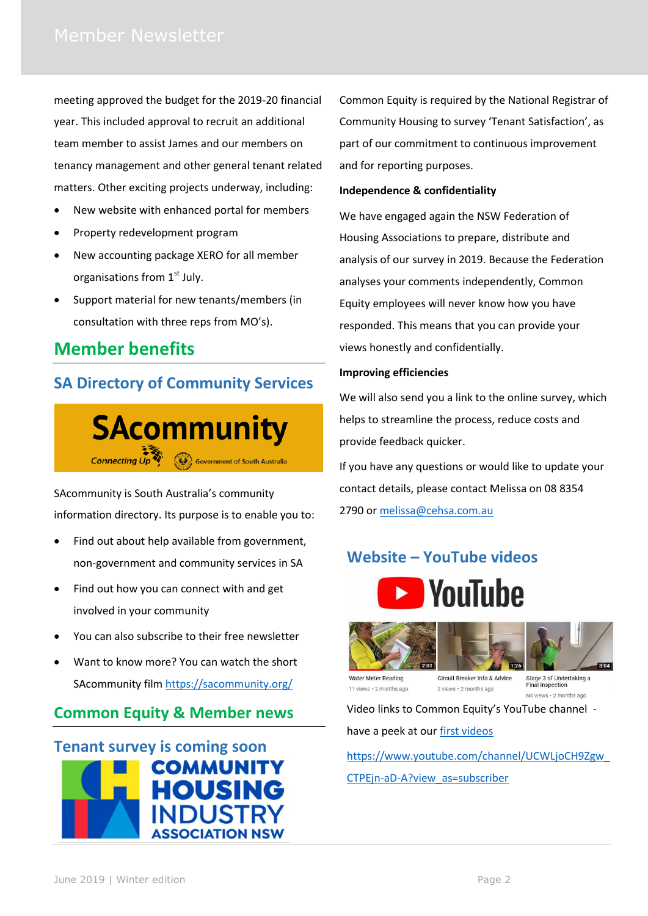meeting approved the budget for the 2019-20 financial year. This included approval to recruit an additional team member to assist James and our members on tenancy management and other general tenant related matters. Other exciting projects underway, including:

- New website with enhanced portal for members
- Property redevelopment program
- New accounting package XERO for all member organisations from 1<sup>st</sup> July.
- Support material for new tenants/members (in consultation with three reps from MO's).

### **Member benefits**

### **SA Directory of Community Services**



SAcommunity is South Australia's community information directory. Its purpose is to enable you to:

- Find out about help available from government, non-government and community services in SA
- Find out how you can connect with and get involved in your community
- You can also subscribe to their free newsletter
- Want to know more? You can watch the short SAcommunity film<https://sacommunity.org/>

### **Common Equity & Member news**



Common Equity is required by the National Registrar of Community Housing to survey 'Tenant Satisfaction', as part of our commitment to continuous improvement and for reporting purposes.

### **Independence & confidentiality**

We have engaged again the NSW Federation of Housing Associations to prepare, distribute and analysis of our survey in 2019. Because the Federation analyses your comments independently, Common Equity employees will never know how you have responded. This means that you can provide your views honestly and confidentially.

### **Improving efficiencies**

We will also send you a link to the online survey, which helps to streamline the process, reduce costs and provide feedback quicker.

If you have any questions or would like to update your contact details, please contact Melissa on 08 8354 2790 or [melissa@cehsa.com.au](mailto:melissa@cehsa.com.au)

### **Website – YouTube videos**









Water Meter Reading 11 views · 2 months ago

Circuit Breaker Info & Advice 2 views · 2 months ago

Stage 3 of Undertaking a **Final Inspection** No views · 2 months ago

Video links to Common Equity's YouTube channel -

have a peek at our [first videos](https://www.youtube.com/channel/UCWLjoCH9Zgw_CTPEjn-aD-A?view_as=subscriber)

[https://www.youtube.com/channel/UCWLjoCH9Zgw\\_](https://www.youtube.com/channel/UCWLjoCH9Zgw_CTPEjn-aD-A?view_as=subscriber) [CTPEjn-aD-A?view\\_as=subscriber](https://www.youtube.com/channel/UCWLjoCH9Zgw_CTPEjn-aD-A?view_as=subscriber)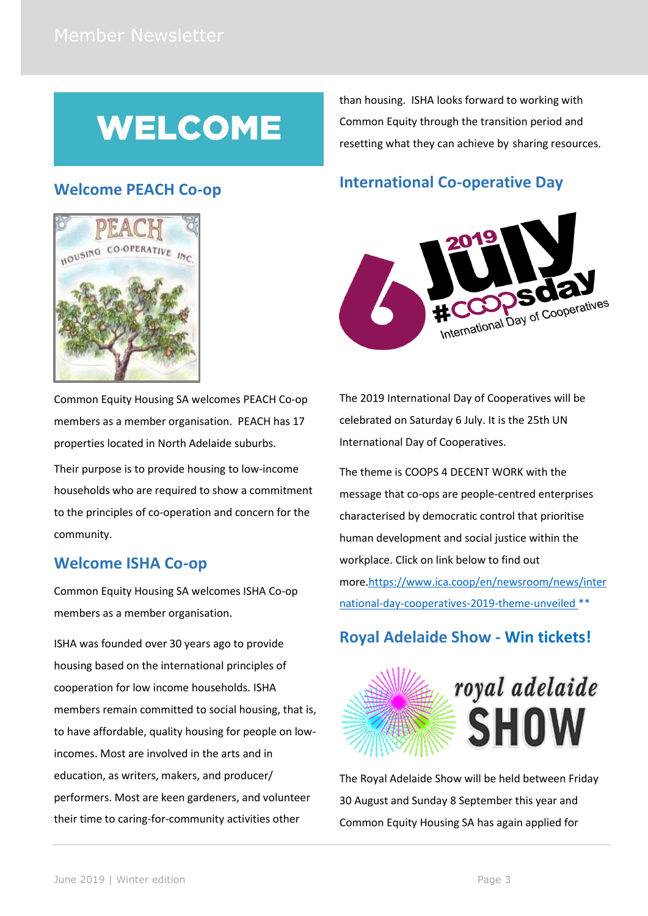## **WELCOME**

than housing. ISHA looks forward to working with Common Equity through the transition period and resetting what they can achieve by sharing resources.

# HOUSING

**Welcome PEACH Co-op**

Common Equity Housing SA welcomes PEACH Co-op members as a member organisation. PEACH has 17 properties located in North Adelaide suburbs. Their purpose is to provide housing to low-income households who are required to show a commitment to the principles of co-operation and concern for the community.

### **Welcome ISHA Co-op**

Common Equity Housing SA welcomes ISHA Co-op members as a member organisation.

ISHA was founded over 30 years ago to provide housing based on the international principles of cooperation for low income households. ISHA members remain committed to social housing, that is, to have affordable, quality housing for people on lowincomes. Most are involved in the arts and in education, as writers, makers, and producer/ performers. Most are keen gardeners, and volunteer their time to caring-for-community activities other

### **International Co-operative Day**



The 2019 International Day of Cooperatives will be celebrated on Saturday 6 July. It is the 25th UN International Day of Cooperatives.

The theme is COOPS 4 DECENT WORK with the message that co-ops are people-centred enterprises characterised by democratic control that prioritise human development and social justice within the workplace. Click on link below to find out more[.https://www.ica.coop/en/newsroom/news/inter](https://www.ica.coop/en/newsroom/news/international-day-cooperatives-2019-theme-unveiled) [national-day-cooperatives-2019-theme-unveiled](https://www.ica.coop/en/newsroom/news/international-day-cooperatives-2019-theme-unveiled) \*\*

### **Royal Adelaide Show - Win tickets!**



The Royal Adelaide Show will be held between Friday 30 August and Sunday 8 September this year and Common Equity Housing SA has again applied for